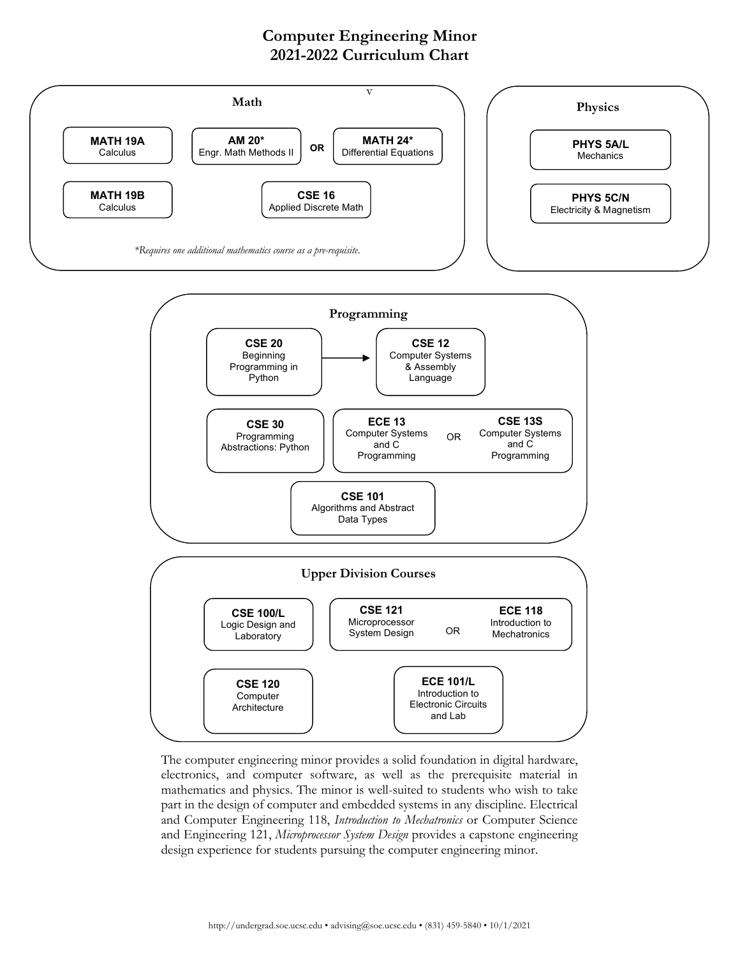## **Computer Engineering Minor 2021-2022 Curriculum Chart**



The computer engineering minor provides a solid foundation in digital hardware, electronics, and computer software, as well as the prerequisite material in mathematics and physics. The minor is well-suited to students who wish to take part in the design of computer and embedded systems in any discipline. Electrical and Computer Engineering 118, *Introduction to Mechatronics* or Computer Science and Engineering 121, *Microprocessor System Design* provides a capstone engineering design experience for students pursuing the computer engineering minor.